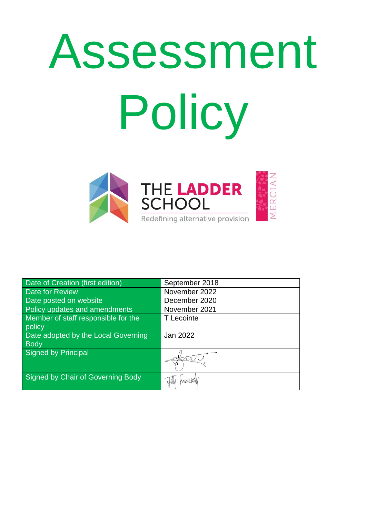# Assessment Policy



| Date of Creation (first edition)         | September 2018 |
|------------------------------------------|----------------|
| Date for Review                          | November 2022  |
| Date posted on website                   | December 2020  |
| Policy updates and amendments            | November 2021  |
| Member of staff responsible for the      | T Lecointe     |
| policy                                   |                |
| Date adopted by the Local Governing      | Jan 2022       |
| <b>Body</b>                              |                |
| <b>Signed by Principal</b>               |                |
|                                          |                |
| <b>Signed by Chair of Governing Body</b> | NWW 481        |
|                                          |                |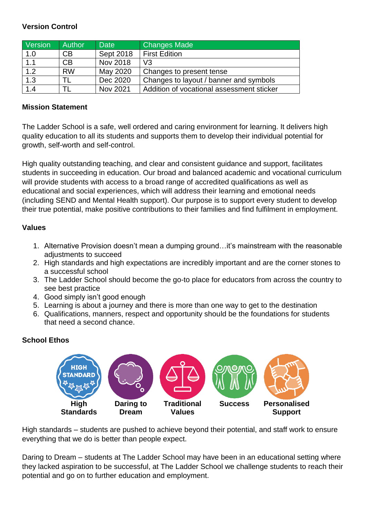#### **Version Control**

| Version          | <b>Author</b> | <b>Date</b> | <b>Changes Made</b>                       |
|------------------|---------------|-------------|-------------------------------------------|
| 1.0              | CB            | Sept 2018   | <b>First Edition</b>                      |
| 1.1              | CB            | Nov 2018    | V <sub>3</sub>                            |
| 1.2              | <b>RW</b>     | May 2020    | Changes to present tense                  |
| $\overline{1.3}$ |               | Dec 2020    | Changes to layout / banner and symbols    |
| 1.4              |               | Nov 2021    | Addition of vocational assessment sticker |

#### **Mission Statement**

The Ladder School is a safe, well ordered and caring environment for learning. It delivers high quality education to all its students and supports them to develop their individual potential for growth, self-worth and self-control.

High quality outstanding teaching, and clear and consistent guidance and support, facilitates students in succeeding in education. Our broad and balanced academic and vocational curriculum will provide students with access to a broad range of accredited qualifications as well as educational and social experiences, which will address their learning and emotional needs (including SEND and Mental Health support). Our purpose is to support every student to develop their true potential, make positive contributions to their families and find fulfilment in employment.

#### **Values**

- 1. Alternative Provision doesn't mean a dumping ground…it's mainstream with the reasonable adjustments to succeed
- 2. High standards and high expectations are incredibly important and are the corner stones to a successful school
- 3. The Ladder School should become the go-to place for educators from across the country to see best practice
- 4. Good simply isn't good enough
- 5. Learning is about a journey and there is more than one way to get to the destination
- 6. Qualifications, manners, respect and opportunity should be the foundations for students that need a second chance.

# **School Ethos**



High standards – students are pushed to achieve beyond their potential, and staff work to ensure everything that we do is better than people expect.

Daring to Dream – students at The Ladder School may have been in an educational setting where they lacked aspiration to be successful, at The Ladder School we challenge students to reach their potential and go on to further education and employment.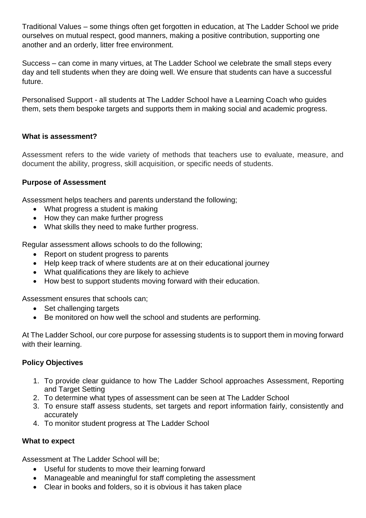Traditional Values – some things often get forgotten in education, at The Ladder School we pride ourselves on mutual respect, good manners, making a positive contribution, supporting one another and an orderly, litter free environment.

Success – can come in many virtues, at The Ladder School we celebrate the small steps every day and tell students when they are doing well. We ensure that students can have a successful future.

Personalised Support - all students at The Ladder School have a Learning Coach who guides them, sets them bespoke targets and supports them in making social and academic progress.

# **What is assessment?**

Assessment refers to the wide variety of methods that teachers use to evaluate, measure, and document the ability, progress, skill acquisition, or specific needs of students.

# **Purpose of Assessment**

Assessment helps teachers and parents understand the following;

- What progress a student is making
- How they can make further progress
- What skills they need to make further progress.

Regular assessment allows schools to do the following;

- Report on student progress to parents
- Help keep track of where students are at on their educational journey
- What qualifications they are likely to achieve
- How best to support students moving forward with their education.

Assessment ensures that schools can;

- Set challenging targets
- Be monitored on how well the school and students are performing.

At The Ladder School, our core purpose for assessing students is to support them in moving forward with their learning.

# **Policy Objectives**

- 1. To provide clear guidance to how The Ladder School approaches Assessment, Reporting and Target Setting
- 2. To determine what types of assessment can be seen at The Ladder School
- 3. To ensure staff assess students, set targets and report information fairly, consistently and accurately
- 4. To monitor student progress at The Ladder School

# **What to expect**

Assessment at The Ladder School will be;

- Useful for students to move their learning forward
- Manageable and meaningful for staff completing the assessment
- Clear in books and folders, so it is obvious it has taken place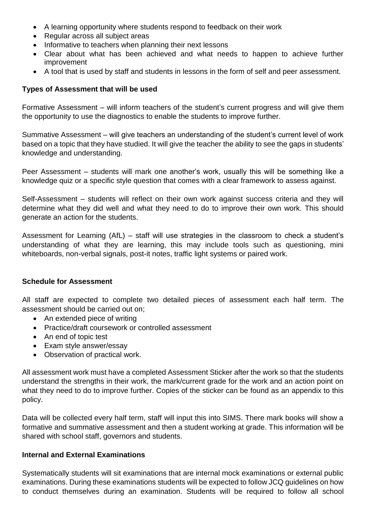- A learning opportunity where students respond to feedback on their work
- Regular across all subject areas
- Informative to teachers when planning their next lessons
- Clear about what has been achieved and what needs to happen to achieve further improvement
- A tool that is used by staff and students in lessons in the form of self and peer assessment.

#### **Types of Assessment that will be used**

Formative Assessment – will inform teachers of the student's current progress and will give them the opportunity to use the diagnostics to enable the students to improve further.

Summative Assessment – will give teachers an understanding of the student's current level of work based on a topic that they have studied. It will give the teacher the ability to see the gaps in students' knowledge and understanding.

Peer Assessment – students will mark one another's work, usually this will be something like a knowledge quiz or a specific style question that comes with a clear framework to assess against.

Self-Assessment – students will reflect on their own work against success criteria and they will determine what they did well and what they need to do to improve their own work. This should generate an action for the students.

Assessment for Learning (AfL) – staff will use strategies in the classroom to check a student's understanding of what they are learning, this may include tools such as questioning, mini whiteboards, non-verbal signals, post-it notes, traffic light systems or paired work.

#### **Schedule for Assessment**

All staff are expected to complete two detailed pieces of assessment each half term. The assessment should be carried out on;

- An extended piece of writing
- Practice/draft coursework or controlled assessment
- An end of topic test
- Exam style answer/essay
- Observation of practical work.

All assessment work must have a completed Assessment Sticker after the work so that the students understand the strengths in their work, the mark/current grade for the work and an action point on what they need to do to improve further. Copies of the sticker can be found as an appendix to this policy.

Data will be collected every half term, staff will input this into SIMS. There mark books will show a formative and summative assessment and then a student working at grade. This information will be shared with school staff, governors and students.

#### **Internal and External Examinations**

Systematically students will sit examinations that are internal mock examinations or external public examinations. During these examinations students will be expected to follow JCQ guidelines on how to conduct themselves during an examination. Students will be required to follow all school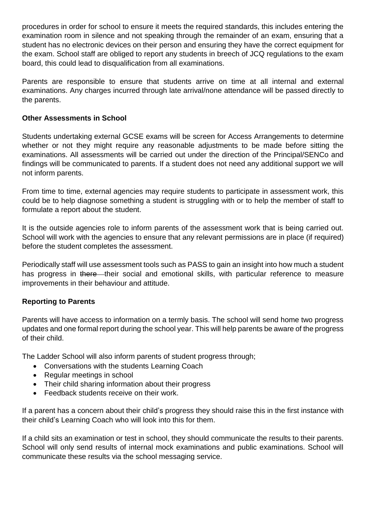procedures in order for school to ensure it meets the required standards, this includes entering the examination room in silence and not speaking through the remainder of an exam, ensuring that a student has no electronic devices on their person and ensuring they have the correct equipment for the exam. School staff are obliged to report any students in breech of JCQ regulations to the exam board, this could lead to disqualification from all examinations.

Parents are responsible to ensure that students arrive on time at all internal and external examinations. Any charges incurred through late arrival/none attendance will be passed directly to the parents.

# **Other Assessments in School**

Students undertaking external GCSE exams will be screen for Access Arrangements to determine whether or not they might require any reasonable adjustments to be made before sitting the examinations. All assessments will be carried out under the direction of the Principal/SENCo and findings will be communicated to parents. If a student does not need any additional support we will not inform parents.

From time to time, external agencies may require students to participate in assessment work, this could be to help diagnose something a student is struggling with or to help the member of staff to formulate a report about the student.

It is the outside agencies role to inform parents of the assessment work that is being carried out. School will work with the agencies to ensure that any relevant permissions are in place (if required) before the student completes the assessment.

Periodically staff will use assessment tools such as PASS to gain an insight into how much a student has progress in there their social and emotional skills, with particular reference to measure improvements in their behaviour and attitude.

# **Reporting to Parents**

Parents will have access to information on a termly basis. The school will send home two progress updates and one formal report during the school year. This will help parents be aware of the progress of their child.

The Ladder School will also inform parents of student progress through;

- Conversations with the students Learning Coach
- Regular meetings in school
- Their child sharing information about their progress
- Feedback students receive on their work.

If a parent has a concern about their child's progress they should raise this in the first instance with their child's Learning Coach who will look into this for them.

If a child sits an examination or test in school, they should communicate the results to their parents. School will only send results of internal mock examinations and public examinations. School will communicate these results via the school messaging service.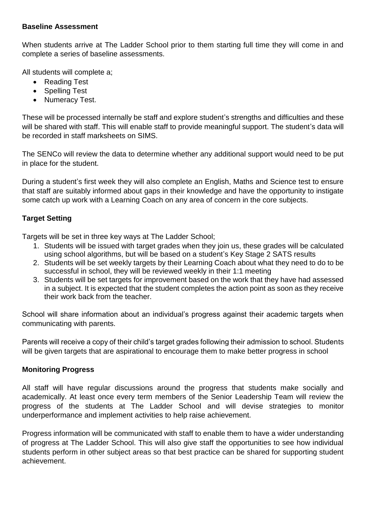#### **Baseline Assessment**

When students arrive at The Ladder School prior to them starting full time they will come in and complete a series of baseline assessments.

All students will complete a;

- Reading Test
- Spelling Test
- Numeracy Test.

These will be processed internally be staff and explore student's strengths and difficulties and these will be shared with staff. This will enable staff to provide meaningful support. The student's data will be recorded in staff marksheets on SIMS.

The SENCo will review the data to determine whether any additional support would need to be put in place for the student.

During a student's first week they will also complete an English, Maths and Science test to ensure that staff are suitably informed about gaps in their knowledge and have the opportunity to instigate some catch up work with a Learning Coach on any area of concern in the core subjects.

# **Target Setting**

Targets will be set in three key ways at The Ladder School;

- 1. Students will be issued with target grades when they join us, these grades will be calculated using school algorithms, but will be based on a student's Key Stage 2 SATS results
- 2. Students will be set weekly targets by their Learning Coach about what they need to do to be successful in school, they will be reviewed weekly in their 1:1 meeting
- 3. Students will be set targets for improvement based on the work that they have had assessed in a subject. It is expected that the student completes the action point as soon as they receive their work back from the teacher.

School will share information about an individual's progress against their academic targets when communicating with parents.

Parents will receive a copy of their child's target grades following their admission to school. Students will be given targets that are aspirational to encourage them to make better progress in school

# **Monitoring Progress**

All staff will have regular discussions around the progress that students make socially and academically. At least once every term members of the Senior Leadership Team will review the progress of the students at The Ladder School and will devise strategies to monitor underperformance and implement activities to help raise achievement.

Progress information will be communicated with staff to enable them to have a wider understanding of progress at The Ladder School. This will also give staff the opportunities to see how individual students perform in other subject areas so that best practice can be shared for supporting student achievement.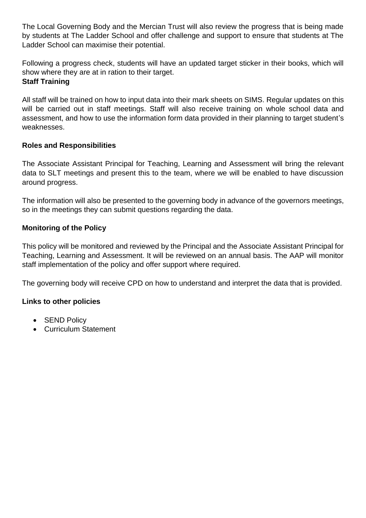The Local Governing Body and the Mercian Trust will also review the progress that is being made by students at The Ladder School and offer challenge and support to ensure that students at The Ladder School can maximise their potential.

Following a progress check, students will have an updated target sticker in their books, which will show where they are at in ration to their target.

# **Staff Training**

All staff will be trained on how to input data into their mark sheets on SIMS. Regular updates on this will be carried out in staff meetings. Staff will also receive training on whole school data and assessment, and how to use the information form data provided in their planning to target student's weaknesses.

# **Roles and Responsibilities**

The Associate Assistant Principal for Teaching, Learning and Assessment will bring the relevant data to SLT meetings and present this to the team, where we will be enabled to have discussion around progress.

The information will also be presented to the governing body in advance of the governors meetings, so in the meetings they can submit questions regarding the data.

# **Monitoring of the Policy**

This policy will be monitored and reviewed by the Principal and the Associate Assistant Principal for Teaching, Learning and Assessment. It will be reviewed on an annual basis. The AAP will monitor staff implementation of the policy and offer support where required.

The governing body will receive CPD on how to understand and interpret the data that is provided.

# **Links to other policies**

- SEND Policy
- Curriculum Statement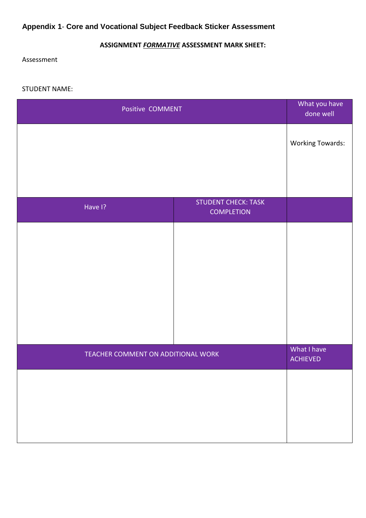# **Appendix 1**- **Core and Vocational Subject Feedback Sticker Assessment**

# **ASSIGNMENT** *FORMATIVE* **ASSESSMENT MARK SHEET:**

Assessment

STUDENT NAME:

| Positive COMMENT                   |                                                 | What you have<br>done well     |
|------------------------------------|-------------------------------------------------|--------------------------------|
|                                    |                                                 | <b>Working Towards:</b>        |
|                                    |                                                 |                                |
| Have I?                            | <b>STUDENT CHECK: TASK</b><br><b>COMPLETION</b> |                                |
|                                    |                                                 |                                |
| TEACHER COMMENT ON ADDITIONAL WORK |                                                 | What I have<br><b>ACHIEVED</b> |
|                                    |                                                 |                                |